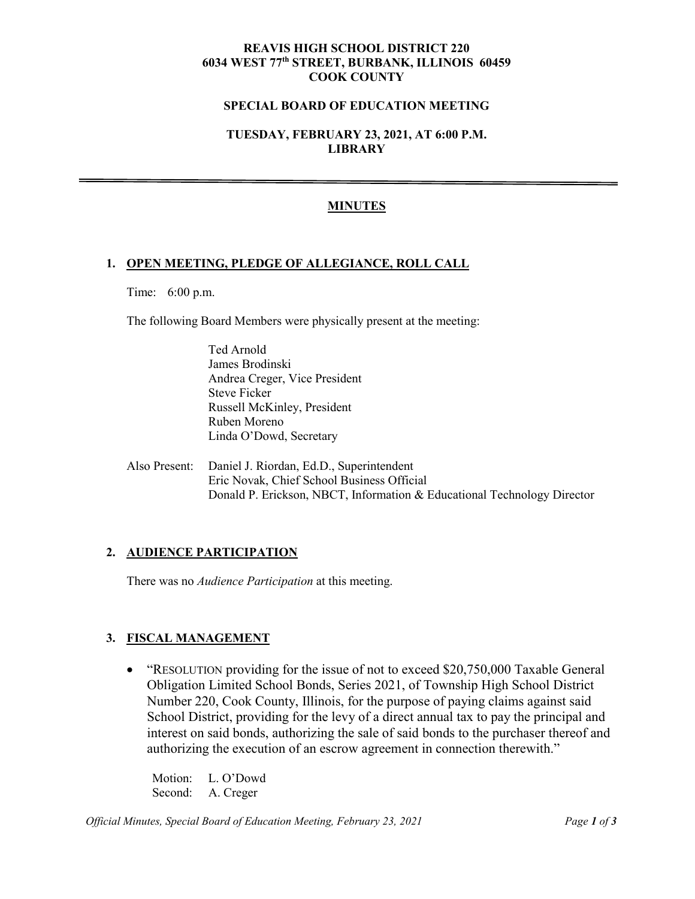#### **REAVIS HIGH SCHOOL DISTRICT 220 6034 WEST 77th STREET, BURBANK, ILLINOIS 60459 COOK COUNTY**

#### **SPECIAL BOARD OF EDUCATION MEETING**

# **TUESDAY, FEBRUARY 23, 2021, AT 6:00 P.M. LIBRARY**

### **MINUTES**

#### **1. OPEN MEETING, PLEDGE OF ALLEGIANCE, ROLL CALL**

Time: 6:00 p.m.

The following Board Members were physically present at the meeting:

Ted Arnold James Brodinski Andrea Creger, Vice President Steve Ficker Russell McKinley, President Ruben Moreno Linda O'Dowd, Secretary

Also Present: Daniel J. Riordan, Ed.D., Superintendent Eric Novak, Chief School Business Official Donald P. Erickson, NBCT, Information & Educational Technology Director

### **2. AUDIENCE PARTICIPATION**

There was no *Audience Participation* at this meeting.

### **3. FISCAL MANAGEMENT**

• "RESOLUTION providing for the issue of not to exceed \$20,750,000 Taxable General Obligation Limited School Bonds, Series 2021, of Township High School District Number 220, Cook County, Illinois, for the purpose of paying claims against said School District, providing for the levy of a direct annual tax to pay the principal and interest on said bonds, authorizing the sale of said bonds to the purchaser thereof and authorizing the execution of an escrow agreement in connection therewith."

Motion: L. O'Dowd Second: A. Creger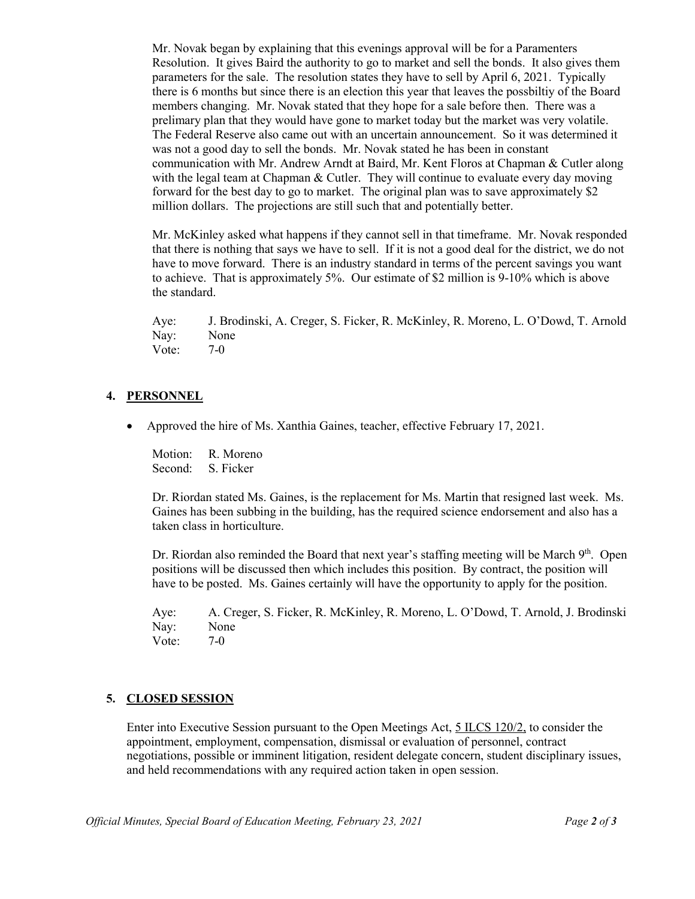Mr. Novak began by explaining that this evenings approval will be for a Paramenters Resolution. It gives Baird the authority to go to market and sell the bonds. It also gives them parameters for the sale. The resolution states they have to sell by April 6, 2021. Typically there is 6 months but since there is an election this year that leaves the possbiltiy of the Board members changing. Mr. Novak stated that they hope for a sale before then. There was a prelimary plan that they would have gone to market today but the market was very volatile. The Federal Reserve also came out with an uncertain announcement. So it was determined it was not a good day to sell the bonds. Mr. Novak stated he has been in constant communication with Mr. Andrew Arndt at Baird, Mr. Kent Floros at Chapman & Cutler along with the legal team at Chapman & Cutler. They will continue to evaluate every day moving forward for the best day to go to market. The original plan was to save approximately \$2 million dollars. The projections are still such that and potentially better.

Mr. McKinley asked what happens if they cannot sell in that timeframe. Mr. Novak responded that there is nothing that says we have to sell. If it is not a good deal for the district, we do not have to move forward. There is an industry standard in terms of the percent savings you want to achieve. That is approximately 5%. Our estimate of \$2 million is 9-10% which is above the standard.

Aye: J. Brodinski, A. Creger, S. Ficker, R. McKinley, R. Moreno, L. O'Dowd, T. Arnold Nay: None Vote: 7-0

### **4. PERSONNEL**

• Approved the hire of Ms. Xanthia Gaines, teacher, effective February 17, 2021.

Motion: R. Moreno Second: S. Ficker

Dr. Riordan stated Ms. Gaines, is the replacement for Ms. Martin that resigned last week. Ms. Gaines has been subbing in the building, has the required science endorsement and also has a taken class in horticulture.

Dr. Riordan also reminded the Board that next year's staffing meeting will be March  $9<sup>th</sup>$ . Open positions will be discussed then which includes this position. By contract, the position will have to be posted. Ms. Gaines certainly will have the opportunity to apply for the position.

Aye: A. Creger, S. Ficker, R. McKinley, R. Moreno, L. O'Dowd, T. Arnold, J. Brodinski Nay: None Vote: 7-0

### **5. CLOSED SESSION**

Enter into Executive Session pursuant to the Open Meetings Act, 5 ILCS 120/2, to consider the appointment, employment, compensation, dismissal or evaluation of personnel, contract negotiations, possible or imminent litigation, resident delegate concern, student disciplinary issues, and held recommendations with any required action taken in open session.